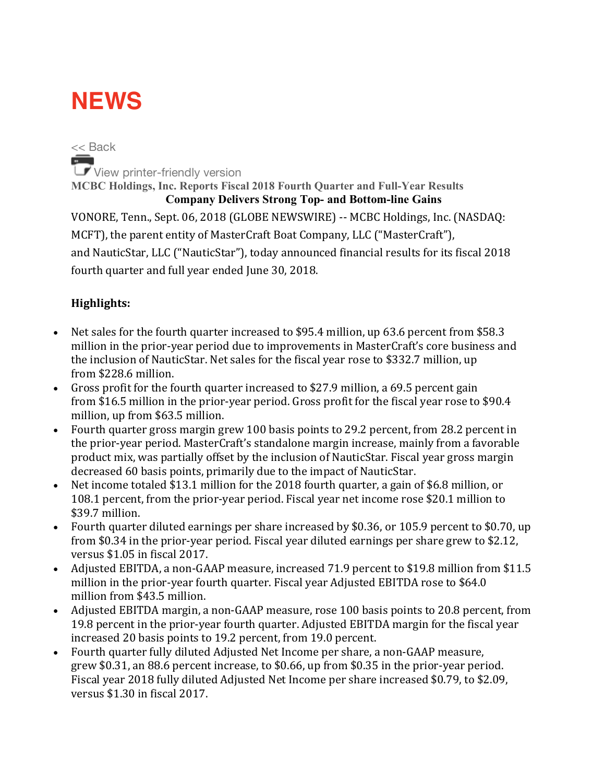# **NEWS**

<< Back View printer-friendly version **MCBC Holdings, Inc. Reports Fiscal 2018 Fourth Quarter and Full-Year Results Company Delivers Strong Top- and Bottom-line Gains** VONORE, Tenn., Sept. 06, 2018 (GLOBE NEWSWIRE) -- MCBC Holdings, Inc. (NASDAQ: MCFT), the parent entity of MasterCraft Boat Company, LLC ("MasterCraft"), and NauticStar, LLC ("NauticStar"), today announced financial results for its fiscal 2018 fourth quarter and full year ended June 30, 2018.

### **Highlights:**

- Net sales for the fourth quarter increased to \$95.4 million, up 63.6 percent from \$58.3 million in the prior-year period due to improvements in MasterCraft's core business and the inclusion of NauticStar. Net sales for the fiscal year rose to \$332.7 million, up from \$228.6 million.
- Gross profit for the fourth quarter increased to \$27.9 million, a 69.5 percent gain from \$16.5 million in the prior-year period. Gross profit for the fiscal year rose to \$90.4 million, up from \$63.5 million.
- Fourth quarter gross margin grew 100 basis points to 29.2 percent, from 28.2 percent in the prior-year period. MasterCraft's standalone margin increase, mainly from a favorable product mix, was partially offset by the inclusion of NauticStar. Fiscal year gross margin decreased 60 basis points, primarily due to the impact of NauticStar.
- Net income totaled \$13.1 million for the 2018 fourth quarter, a gain of \$6.8 million, or 108.1 percent, from the prior-year period. Fiscal year net income rose \$20.1 million to \$39.7 million.
- Fourth quarter diluted earnings per share increased by \$0.36, or 105.9 percent to \$0.70, up from \$0.34 in the prior-year period. Fiscal year diluted earnings per share grew to \$2.12, versus  $$1.05$  in fiscal 2017.
- Adjusted EBITDA, a non-GAAP measure, increased 71.9 percent to \$19.8 million from \$11.5 million in the prior-year fourth quarter. Fiscal year Adjusted EBITDA rose to \$64.0 million from \$43.5 million.
- Adjusted EBITDA margin, a non-GAAP measure, rose 100 basis points to 20.8 percent, from 19.8 percent in the prior-year fourth quarter. Adjusted EBITDA margin for the fiscal year increased 20 basis points to 19.2 percent, from 19.0 percent.
- Fourth quarter fully diluted Adjusted Net Income per share, a non-GAAP measure, grew \$0.31, an 88.6 percent increase, to \$0.66, up from \$0.35 in the prior-year period. Fiscal year 2018 fully diluted Adjusted Net Income per share increased \$0.79, to \$2.09, versus  $$1.30$  in fiscal  $2017$ .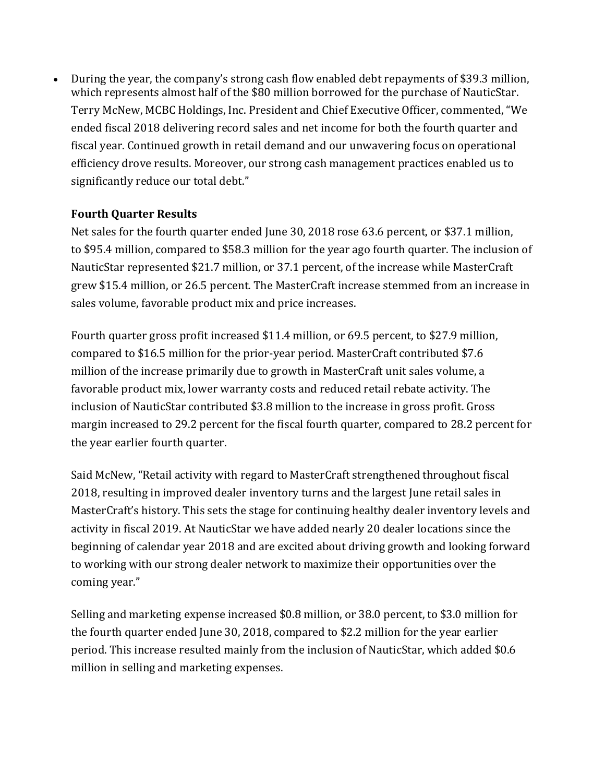During the year, the company's strong cash flow enabled debt repayments of \$39.3 million, which represents almost half of the \$80 million borrowed for the purchase of NauticStar. Terry McNew, MCBC Holdings, Inc. President and Chief Executive Officer, commented, "We ended fiscal 2018 delivering record sales and net income for both the fourth quarter and fiscal year. Continued growth in retail demand and our unwavering focus on operational efficiency drove results. Moreover, our strong cash management practices enabled us to significantly reduce our total debt."

#### **Fourth Quarter Results**

Net sales for the fourth quarter ended June 30, 2018 rose 63.6 percent, or \$37.1 million, to \$95.4 million, compared to \$58.3 million for the year ago fourth quarter. The inclusion of NauticStar represented \$21.7 million, or 37.1 percent, of the increase while MasterCraft grew \$15.4 million, or 26.5 percent. The MasterCraft increase stemmed from an increase in sales volume, favorable product mix and price increases.

Fourth quarter gross profit increased \$11.4 million, or 69.5 percent, to \$27.9 million, compared to \$16.5 million for the prior-year period. MasterCraft contributed \$7.6 million of the increase primarily due to growth in MasterCraft unit sales volume, a favorable product mix, lower warranty costs and reduced retail rebate activity. The inclusion of NauticStar contributed \$3.8 million to the increase in gross profit. Gross margin increased to 29.2 percent for the fiscal fourth quarter, compared to 28.2 percent for the year earlier fourth quarter.

Said McNew, "Retail activity with regard to MasterCraft strengthened throughout fiscal 2018, resulting in improved dealer inventory turns and the largest June retail sales in MasterCraft's history. This sets the stage for continuing healthy dealer inventory levels and activity in fiscal 2019. At NauticStar we have added nearly 20 dealer locations since the beginning of calendar year 2018 and are excited about driving growth and looking forward to working with our strong dealer network to maximize their opportunities over the coming year."

Selling and marketing expense increased \$0.8 million, or 38.0 percent, to \$3.0 million for the fourth quarter ended June 30, 2018, compared to \$2.2 million for the year earlier period. This increase resulted mainly from the inclusion of NauticStar, which added \$0.6 million in selling and marketing expenses.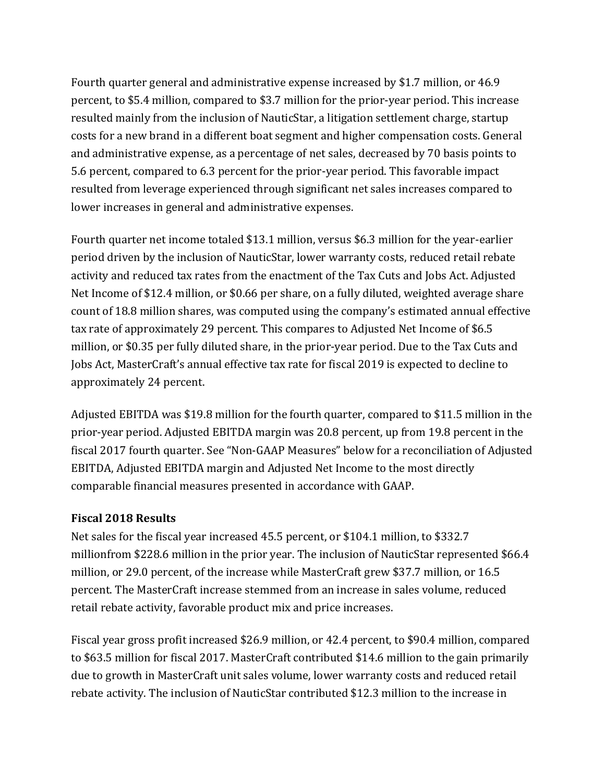Fourth quarter general and administrative expense increased by \$1.7 million, or 46.9 percent, to \$5.4 million, compared to \$3.7 million for the prior-year period. This increase resulted mainly from the inclusion of NauticStar, a litigation settlement charge, startup costs for a new brand in a different boat segment and higher compensation costs. General and administrative expense, as a percentage of net sales, decreased by 70 basis points to 5.6 percent, compared to 6.3 percent for the prior-year period. This favorable impact resulted from leverage experienced through significant net sales increases compared to lower increases in general and administrative expenses.

Fourth quarter net income totaled \$13.1 million, versus \$6.3 million for the year-earlier period driven by the inclusion of NauticStar, lower warranty costs, reduced retail rebate activity and reduced tax rates from the enactment of the Tax Cuts and Jobs Act. Adjusted Net Income of \$12.4 million, or \$0.66 per share, on a fully diluted, weighted average share count of 18.8 million shares, was computed using the company's estimated annual effective tax rate of approximately 29 percent. This compares to Adjusted Net Income of \$6.5 million, or \$0.35 per fully diluted share, in the prior-year period. Due to the Tax Cuts and Jobs Act, MasterCraft's annual effective tax rate for fiscal 2019 is expected to decline to approximately 24 percent.

Adjusted EBITDA was \$19.8 million for the fourth quarter, compared to \$11.5 million in the prior-year period. Adjusted EBITDA margin was 20.8 percent, up from 19.8 percent in the fiscal 2017 fourth quarter. See "Non-GAAP Measures" below for a reconciliation of Adjusted EBITDA, Adjusted EBITDA margin and Adjusted Net Income to the most directly comparable financial measures presented in accordance with GAAP.

#### **Fiscal 2018 Results**

Net sales for the fiscal year increased 45.5 percent, or \$104.1 million, to \$332.7 millionfrom \$228.6 million in the prior year. The inclusion of NauticStar represented \$66.4 million, or 29.0 percent, of the increase while MasterCraft grew \$37.7 million, or 16.5 percent. The MasterCraft increase stemmed from an increase in sales volume, reduced retail rebate activity, favorable product mix and price increases.

Fiscal year gross profit increased \$26.9 million, or 42.4 percent, to \$90.4 million, compared to \$63.5 million for fiscal 2017. MasterCraft contributed \$14.6 million to the gain primarily due to growth in MasterCraft unit sales volume, lower warranty costs and reduced retail rebate activity. The inclusion of NauticStar contributed \$12.3 million to the increase in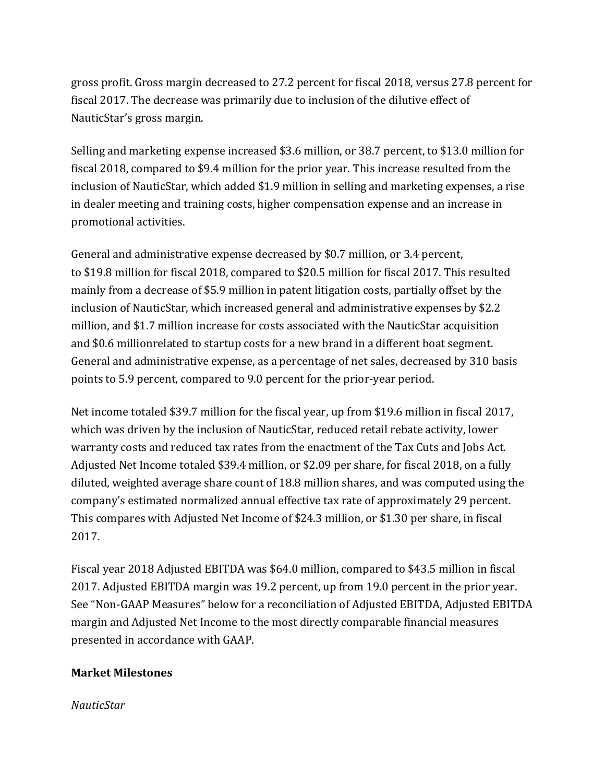gross profit. Gross margin decreased to 27.2 percent for fiscal 2018, versus 27.8 percent for fiscal 2017. The decrease was primarily due to inclusion of the dilutive effect of NauticStar's gross margin.

Selling and marketing expense increased \$3.6 million, or 38.7 percent, to \$13.0 million for fiscal 2018, compared to \$9.4 million for the prior year. This increase resulted from the inclusion of NauticStar, which added \$1.9 million in selling and marketing expenses, a rise in dealer meeting and training costs, higher compensation expense and an increase in promotional activities.

General and administrative expense decreased by \$0.7 million, or 3.4 percent, to \$19.8 million for fiscal 2018, compared to \$20.5 million for fiscal 2017. This resulted mainly from a decrease of \$5.9 million in patent litigation costs, partially offset by the inclusion of NauticStar, which increased general and administrative expenses by \$2.2 million, and \$1.7 million increase for costs associated with the NauticStar acquisition and \$0.6 millionrelated to startup costs for a new brand in a different boat segment. General and administrative expense, as a percentage of net sales, decreased by 310 basis points to 5.9 percent, compared to 9.0 percent for the prior-year period.

Net income totaled \$39.7 million for the fiscal year, up from \$19.6 million in fiscal 2017, which was driven by the inclusion of NauticStar, reduced retail rebate activity, lower warranty costs and reduced tax rates from the enactment of the Tax Cuts and Jobs Act. Adjusted Net Income totaled \$39.4 million, or \$2.09 per share, for fiscal 2018, on a fully diluted, weighted average share count of 18.8 million shares, and was computed using the company's estimated normalized annual effective tax rate of approximately 29 percent. This compares with Adjusted Net Income of \$24.3 million, or \$1.30 per share, in fiscal 2017.

Fiscal year 2018 Adjusted EBITDA was \$64.0 million, compared to \$43.5 million in fiscal 2017. Adjusted EBITDA margin was 19.2 percent, up from 19.0 percent in the prior year. See "Non-GAAP Measures" below for a reconciliation of Adjusted EBITDA, Adjusted EBITDA margin and Adjusted Net Income to the most directly comparable financial measures presented in accordance with GAAP.

#### **Market Milestones**

*NauticStar*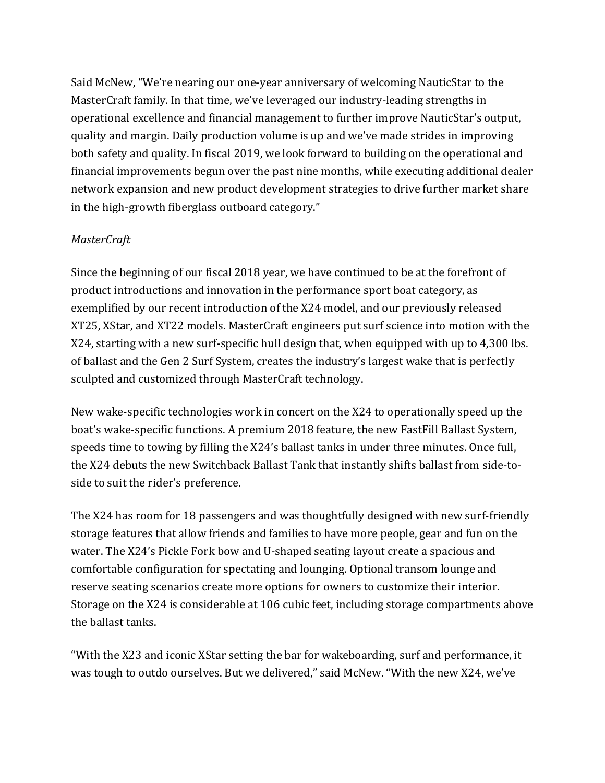Said McNew, "We're nearing our one-year anniversary of welcoming NauticStar to the MasterCraft family. In that time, we've leveraged our industry-leading strengths in operational excellence and financial management to further improve NauticStar's output, quality and margin. Daily production volume is up and we've made strides in improving both safety and quality. In fiscal 2019, we look forward to building on the operational and financial improvements begun over the past nine months, while executing additional dealer network expansion and new product development strategies to drive further market share in the high-growth fiberglass outboard category."

#### *MasterCraft*

Since the beginning of our fiscal 2018 year, we have continued to be at the forefront of product introductions and innovation in the performance sport boat category, as exemplified by our recent introduction of the X24 model, and our previously released XT25, XStar, and XT22 models. MasterCraft engineers put surf science into motion with the X24, starting with a new surf-specific hull design that, when equipped with up to 4,300 lbs. of ballast and the Gen 2 Surf System, creates the industry's largest wake that is perfectly sculpted and customized through MasterCraft technology.

New wake-specific technologies work in concert on the X24 to operationally speed up the boat's wake-specific functions. A premium 2018 feature, the new FastFill Ballast System, speeds time to towing by filling the X24's ballast tanks in under three minutes. Once full, the X24 debuts the new Switchback Ballast Tank that instantly shifts ballast from side-toside to suit the rider's preference.

The X24 has room for 18 passengers and was thoughtfully designed with new surf-friendly storage features that allow friends and families to have more people, gear and fun on the water. The X24's Pickle Fork bow and U-shaped seating layout create a spacious and comfortable configuration for spectating and lounging. Optional transom lounge and reserve seating scenarios create more options for owners to customize their interior. Storage on the X24 is considerable at 106 cubic feet, including storage compartments above the hallast tanks.

"With the X23 and iconic XStar setting the bar for wakeboarding, surf and performance, it was tough to outdo ourselves. But we delivered," said McNew. "With the new X24, we've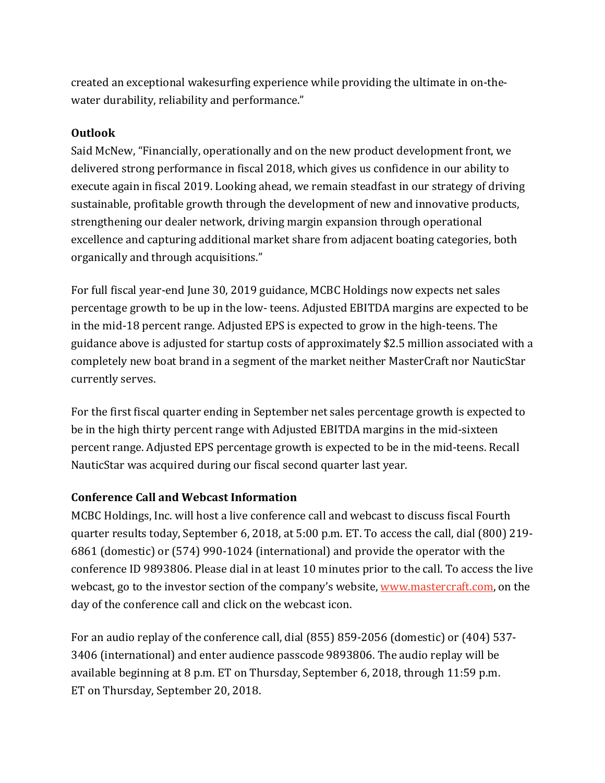created an exceptional wakesurfing experience while providing the ultimate in on-thewater durability, reliability and performance."

#### **Outlook**

Said McNew, "Financially, operationally and on the new product development front, we delivered strong performance in fiscal 2018, which gives us confidence in our ability to execute again in fiscal 2019. Looking ahead, we remain steadfast in our strategy of driving sustainable, profitable growth through the development of new and innovative products, strengthening our dealer network, driving margin expansion through operational excellence and capturing additional market share from adjacent boating categories, both organically and through acquisitions."

For full fiscal year-end June 30, 2019 guidance, MCBC Holdings now expects net sales percentage growth to be up in the low- teens. Adjusted EBITDA margins are expected to be in the mid-18 percent range. Adjusted EPS is expected to grow in the high-teens. The guidance above is adjusted for startup costs of approximately \$2.5 million associated with a completely new boat brand in a segment of the market neither MasterCraft nor NauticStar currently serves.

For the first fiscal quarter ending in September net sales percentage growth is expected to be in the high thirty percent range with Adjusted EBITDA margins in the mid-sixteen percent range. Adjusted EPS percentage growth is expected to be in the mid-teens. Recall NauticStar was acquired during our fiscal second quarter last year.

#### **Conference Call and Webcast Information**

MCBC Holdings, Inc. will host a live conference call and webcast to discuss fiscal Fourth quarter results today, September 6, 2018, at 5:00 p.m. ET. To access the call, dial (800) 219-6861 (domestic) or (574) 990-1024 (international) and provide the operator with the conference ID 9893806. Please dial in at least 10 minutes prior to the call. To access the live webcast, go to the investor section of the company's website, www.mastercraft.com, on the day of the conference call and click on the webcast icon.

For an audio replay of the conference call, dial (855) 859-2056 (domestic) or (404) 537-3406 (international) and enter audience passcode 9893806. The audio replay will be available beginning at 8 p.m. ET on Thursday, September 6, 2018, through 11:59 p.m. ET on Thursday, September 20, 2018.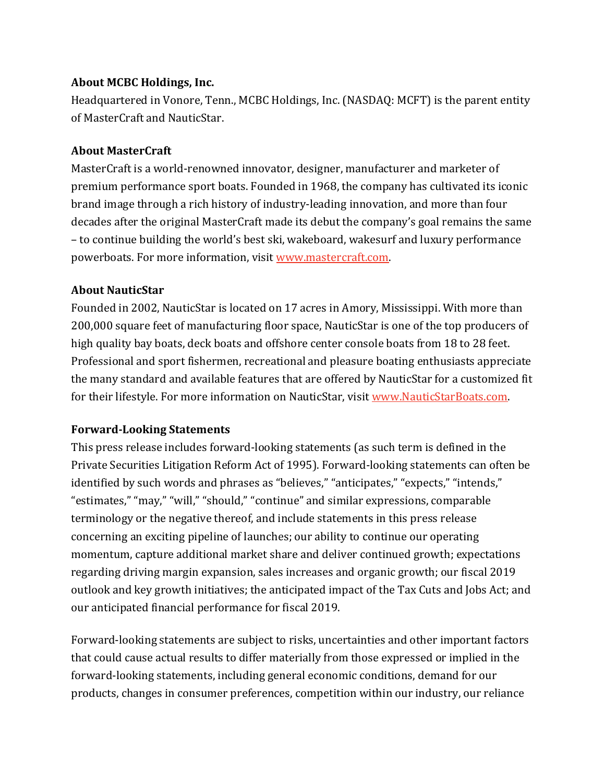#### **About MCBC Holdings, Inc.**

Headquartered in Vonore, Tenn., MCBC Holdings, Inc. (NASDAQ: MCFT) is the parent entity of MasterCraft and NauticStar.

#### **About MasterCraft**

MasterCraft is a world-renowned innovator, designer, manufacturer and marketer of premium performance sport boats. Founded in 1968, the company has cultivated its iconic brand image through a rich history of industry-leading innovation, and more than four decades after the original MasterCraft made its debut the company's goal remains the same – to continue building the world's best ski, wakeboard, wakesurf and luxury performance powerboats. For more information, visit www.mastercraft.com.

#### **About NauticStar**

Founded in 2002, NauticStar is located on 17 acres in Amory, Mississippi. With more than 200,000 square feet of manufacturing floor space, NauticStar is one of the top producers of high quality bay boats, deck boats and offshore center console boats from 18 to 28 feet. Professional and sport fishermen, recreational and pleasure boating enthusiasts appreciate the many standard and available features that are offered by NauticStar for a customized fit for their lifestyle. For more information on NauticStar, visit www.NauticStarBoats.com.

#### **Forward-Looking Statements**

This press release includes forward-looking statements (as such term is defined in the Private Securities Litigation Reform Act of 1995). Forward-looking statements can often be identified by such words and phrases as "believes," "anticipates," "expects," "intends," "estimates," "may," "will," "should," "continue" and similar expressions, comparable terminology or the negative thereof, and include statements in this press release concerning an exciting pipeline of launches; our ability to continue our operating momentum, capture additional market share and deliver continued growth; expectations regarding driving margin expansion, sales increases and organic growth; our fiscal 2019 outlook and key growth initiatives; the anticipated impact of the Tax Cuts and Jobs Act; and our anticipated financial performance for fiscal 2019.

Forward-looking statements are subject to risks, uncertainties and other important factors that could cause actual results to differ materially from those expressed or implied in the forward-looking statements, including general economic conditions, demand for our products, changes in consumer preferences, competition within our industry, our reliance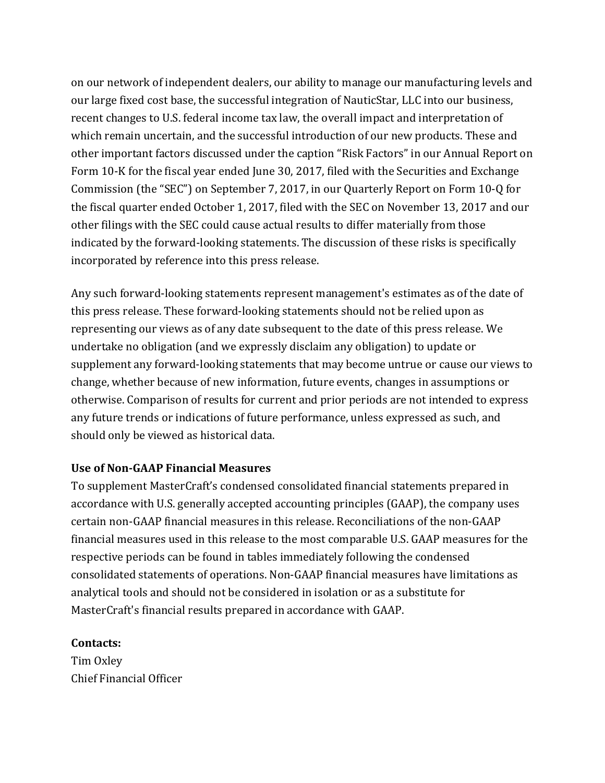on our network of independent dealers, our ability to manage our manufacturing levels and our large fixed cost base, the successful integration of NauticStar, LLC into our business, recent changes to U.S. federal income tax law, the overall impact and interpretation of which remain uncertain, and the successful introduction of our new products. These and other important factors discussed under the caption "Risk Factors" in our Annual Report on Form 10-K for the fiscal year ended June 30, 2017, filed with the Securities and Exchange Commission (the "SEC") on September 7, 2017, in our Quarterly Report on Form 10-Q for the fiscal quarter ended October 1, 2017, filed with the SEC on November 13, 2017 and our other filings with the SEC could cause actual results to differ materially from those indicated by the forward-looking statements. The discussion of these risks is specifically incorporated by reference into this press release.

Any such forward-looking statements represent management's estimates as of the date of this press release. These forward-looking statements should not be relied upon as representing our views as of any date subsequent to the date of this press release. We undertake no obligation (and we expressly disclaim any obligation) to update or supplement any forward-looking statements that may become untrue or cause our views to change, whether because of new information, future events, changes in assumptions or otherwise. Comparison of results for current and prior periods are not intended to express any future trends or indications of future performance, unless expressed as such, and should only be viewed as historical data.

#### **Use of Non-GAAP Financial Measures**

To supplement MasterCraft's condensed consolidated financial statements prepared in accordance with U.S. generally accepted accounting principles (GAAP), the company uses certain non-GAAP financial measures in this release. Reconciliations of the non-GAAP financial measures used in this release to the most comparable U.S. GAAP measures for the respective periods can be found in tables immediately following the condensed consolidated statements of operations. Non-GAAP financial measures have limitations as analytical tools and should not be considered in isolation or as a substitute for MasterCraft's financial results prepared in accordance with GAAP.

#### **Contacts:**

Tim Oxley Chief Financial Officer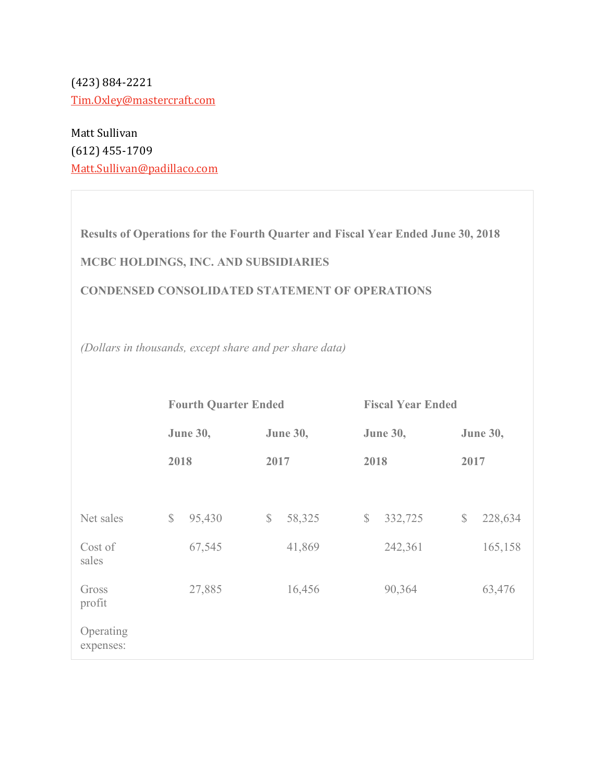(423) 884-2221 Tim.Oxley@mastercraft.com

Matt Sullivan (612) 455-1709 Matt.Sullivan@padillaco.com

**Results of Operations for the Fourth Quarter and Fiscal Year Ended June 30, 2018**

# **MCBC HOLDINGS, INC. AND SUBSIDIARIES**

#### **CONDENSED CONSOLIDATED STATEMENT OF OPERATIONS**

*(Dollars in thousands, except share and per share data)*

|                        |                         | <b>Fourth Quarter Ended</b> |              |                 | <b>Fiscal Year Ended</b> |                 |                 |         |  |  |  |
|------------------------|-------------------------|-----------------------------|--------------|-----------------|--------------------------|-----------------|-----------------|---------|--|--|--|
|                        | <b>June 30,</b><br>2018 |                             |              | <b>June 30,</b> |                          | <b>June 30,</b> | <b>June 30,</b> |         |  |  |  |
|                        |                         |                             | 2017         |                 |                          | 2018            | 2017            |         |  |  |  |
|                        |                         |                             |              |                 |                          |                 |                 |         |  |  |  |
| Net sales              | $\mathbb{S}$            | 95,430                      | $\mathbb{S}$ | 58,325          | $\mathbb{S}$             | 332,725         | $\mathbb{S}$    | 228,634 |  |  |  |
| Cost of<br>sales       |                         | 67,545                      |              | 41,869          |                          | 242,361         |                 | 165,158 |  |  |  |
| Gross<br>profit        |                         | 27,885                      |              | 16,456          |                          | 90,364          |                 | 63,476  |  |  |  |
| Operating<br>expenses: |                         |                             |              |                 |                          |                 |                 |         |  |  |  |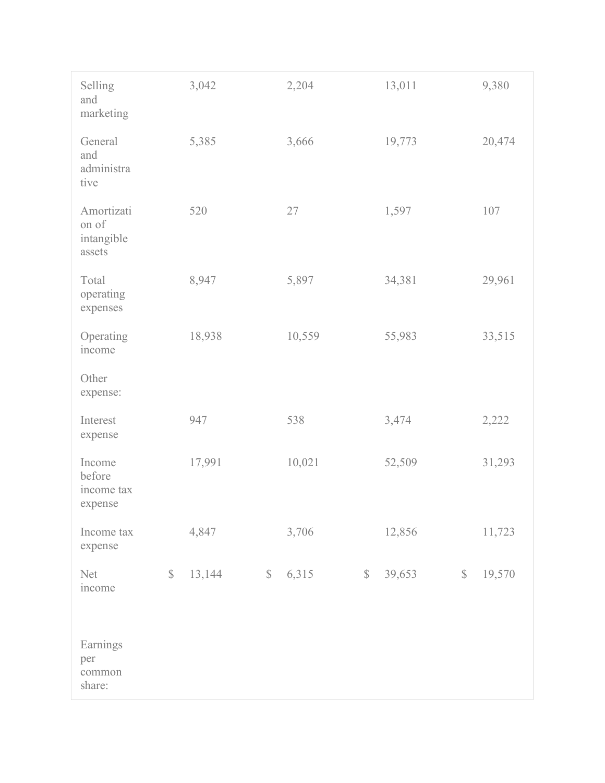| Selling<br>and<br>marketing                 | 3,042  |              | 2,204  |              | 13,011 |              | 9,380  |
|---------------------------------------------|--------|--------------|--------|--------------|--------|--------------|--------|
| General<br>and<br>administra<br>tive        | 5,385  |              | 3,666  |              | 19,773 |              | 20,474 |
| Amortizati<br>on of<br>intangible<br>assets | 520    |              | 27     |              | 1,597  |              | 107    |
| Total<br>operating<br>expenses              | 8,947  |              | 5,897  |              | 34,381 |              | 29,961 |
| Operating<br>income                         | 18,938 |              | 10,559 |              | 55,983 |              | 33,515 |
| Other<br>expense:                           |        |              |        |              |        |              |        |
| Interest<br>expense                         | 947    |              | 538    |              | 3,474  |              | 2,222  |
| Income<br>before<br>income tax<br>expense   | 17,991 |              | 10,021 |              | 52,509 |              | 31,293 |
| Income tax<br>expense                       | 4,847  |              | 3,706  |              | 12,856 |              | 11,723 |
| $\mathbb{S}$<br>Net<br>income               | 13,144 | $\mathbb{S}$ | 6,315  | $\mathbb{S}$ | 39,653 | $\mathbb{S}$ | 19,570 |
| Earnings<br>per<br>common<br>share:         |        |              |        |              |        |              |        |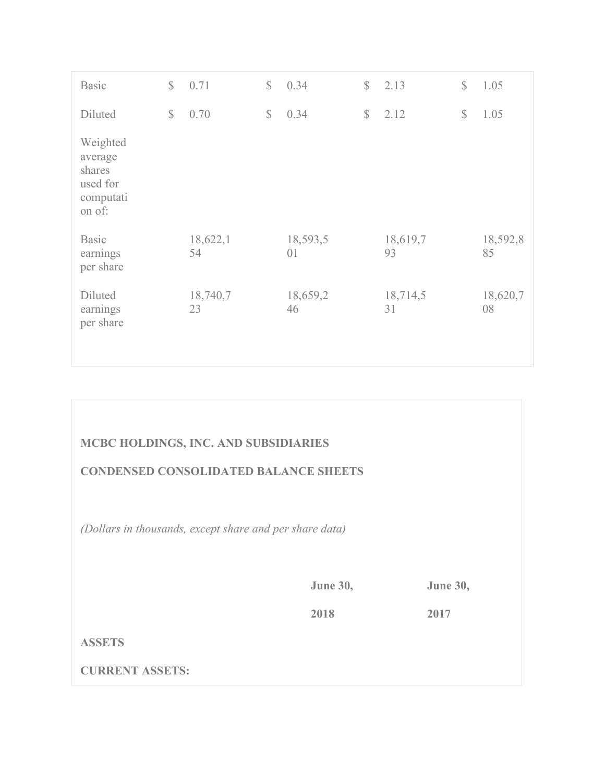| <b>Basic</b>                                                     | $\mathbb{S}$ | 0.71           | $\mathbb{S}$ | 0.34           | $\mathbb{S}$ | 2.13           | $\mathbb{S}$ | 1.05           |
|------------------------------------------------------------------|--------------|----------------|--------------|----------------|--------------|----------------|--------------|----------------|
| Diluted                                                          | $\mathbb{S}$ | 0.70           | $\mathbb{S}$ | 0.34           | \$           | 2.12           | $\mathbb{S}$ | 1.05           |
| Weighted<br>average<br>shares<br>used for<br>computati<br>on of: |              |                |              |                |              |                |              |                |
| <b>Basic</b><br>earnings<br>per share                            |              | 18,622,1<br>54 |              | 18,593,5<br>01 |              | 18,619,7<br>93 |              | 18,592,8<br>85 |
| Diluted<br>earnings<br>per share                                 |              | 18,740,7<br>23 |              | 18,659,2<br>46 |              | 18,714,5<br>31 |              | 18,620,7<br>08 |

# **MCBC HOLDINGS, INC. AND SUBSIDIARIES**

#### **CONDENSED CONSOLIDATED BALANCE SHEETS**

*(Dollars in thousands, except share and per share data)*

**June 30, June 30,**

**2018 2017**

# **ASSETS**

**CURRENT ASSETS:**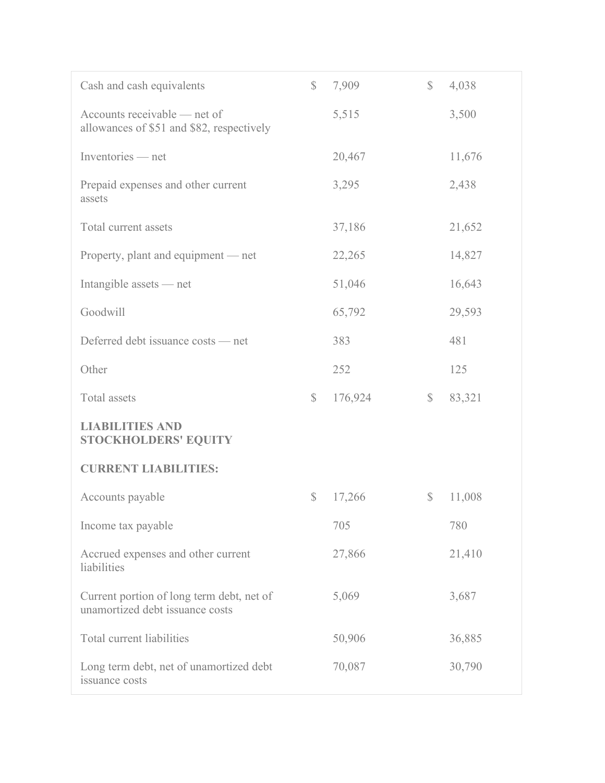| Cash and cash equivalents                                                    | $\mathbb{S}$ | 7,909   | $\mathbb{S}$  | 4,038  |
|------------------------------------------------------------------------------|--------------|---------|---------------|--------|
| Accounts receivable — net of<br>allowances of \$51 and \$82, respectively    |              | 5,515   |               | 3,500  |
| Inventories — net                                                            |              | 20,467  |               | 11,676 |
| Prepaid expenses and other current<br>assets                                 |              | 3,295   |               | 2,438  |
| Total current assets                                                         |              | 37,186  |               | 21,652 |
| Property, plant and equipment — net                                          |              | 22,265  |               | 14,827 |
| Intangible assets — net                                                      |              | 51,046  |               | 16,643 |
| Goodwill                                                                     |              | 65,792  |               | 29,593 |
| Deferred debt issuance costs — net                                           |              | 383     |               | 481    |
| Other                                                                        |              | 252     |               | 125    |
| Total assets                                                                 | $\mathbb{S}$ | 176,924 | $\mathcal{S}$ | 83,321 |
| <b>LIABILITIES AND</b><br><b>STOCKHOLDERS' EQUITY</b>                        |              |         |               |        |
| <b>CURRENT LIABILITIES:</b>                                                  |              |         |               |        |
| Accounts payable                                                             | $\mathbb{S}$ | 17,266  | $\mathbb{S}$  | 11,008 |
| Income tax payable                                                           |              | 705     |               | 780    |
| Accrued expenses and other current<br>liabilities                            |              | 27,866  |               | 21,410 |
| Current portion of long term debt, net of<br>unamortized debt issuance costs |              | 5,069   |               | 3,687  |
| Total current liabilities                                                    |              | 50,906  |               | 36,885 |
| Long term debt, net of unamortized debt<br>issuance costs                    |              | 70,087  |               | 30,790 |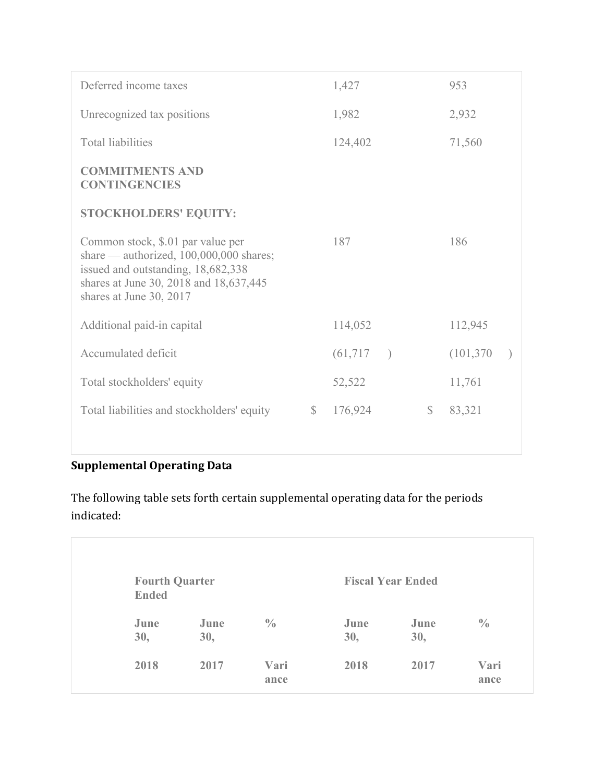| Deferred income taxes                                                                                                                                                                   |              | 1,427     |         |              | 953        |  |
|-----------------------------------------------------------------------------------------------------------------------------------------------------------------------------------------|--------------|-----------|---------|--------------|------------|--|
| Unrecognized tax positions                                                                                                                                                              |              | 1,982     |         |              | 2,932      |  |
| <b>Total liabilities</b>                                                                                                                                                                |              | 124,402   |         |              | 71,560     |  |
| <b>COMMITMENTS AND</b><br><b>CONTINGENCIES</b>                                                                                                                                          |              |           |         |              |            |  |
| <b>STOCKHOLDERS' EQUITY:</b>                                                                                                                                                            |              |           |         |              |            |  |
| Common stock, \$.01 par value per<br>share — authorized, 100,000,000 shares;<br>issued and outstanding, 18,682,338<br>shares at June 30, 2018 and 18,637,445<br>shares at June 30, 2017 |              | 187       |         |              | 186        |  |
| Additional paid-in capital                                                                                                                                                              |              | 114,052   |         |              | 112,945    |  |
| Accumulated deficit                                                                                                                                                                     |              | (61, 717) | $\big)$ |              | (101, 370) |  |
| Total stockholders' equity                                                                                                                                                              |              | 52,522    |         |              | 11,761     |  |
| Total liabilities and stockholders' equity                                                                                                                                              | $\mathbb{S}$ | 176,924   |         | $\mathbb{S}$ | 83,321     |  |

# **Supplemental Operating Data**

The following table sets forth certain supplemental operating data for the periods indicated:

| <b>Fourth Quarter</b><br><b>Ended</b> |             |               |             | <b>Fiscal Year Ended</b> |               |
|---------------------------------------|-------------|---------------|-------------|--------------------------|---------------|
| June<br>30,                           | June<br>30, | $\frac{0}{0}$ | June<br>30, | June<br>30,              | $\frac{0}{0}$ |
| 2018                                  | 2017        | Vari<br>ance  | 2018        | 2017                     | Vari<br>ance  |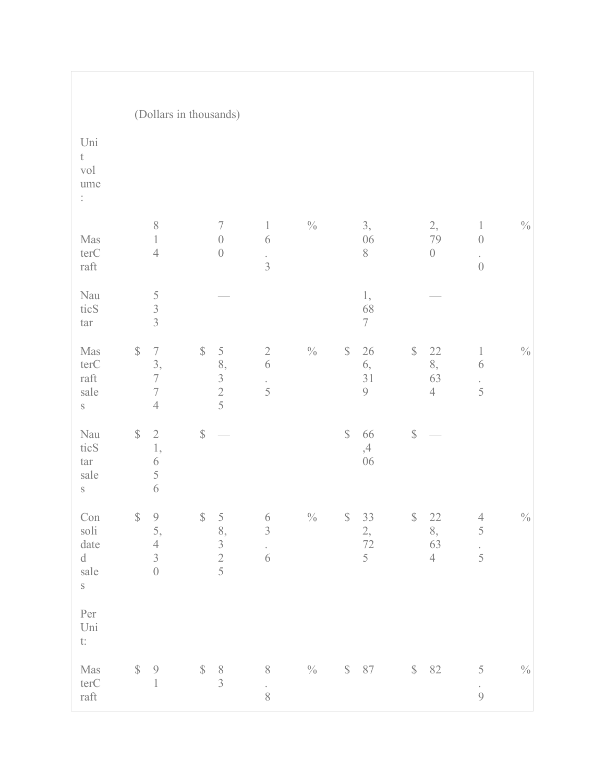|                                                                                                                                                                                            |                                                                                                        | (Dollars in thousands)                                          |                                                        |                 |                                                 |                                                      |                                                                    |               |
|--------------------------------------------------------------------------------------------------------------------------------------------------------------------------------------------|--------------------------------------------------------------------------------------------------------|-----------------------------------------------------------------|--------------------------------------------------------|-----------------|-------------------------------------------------|------------------------------------------------------|--------------------------------------------------------------------|---------------|
| Uni<br>$\mathfrak t$<br>vol<br>ume<br>$\ddot{\cdot}$                                                                                                                                       |                                                                                                        |                                                                 |                                                        |                 |                                                 |                                                      |                                                                    |               |
| $\operatorname{Mas}$<br>terC<br>$\operatorname{raft}$                                                                                                                                      | $\,$ $\,$<br>$\mathbf{1}$<br>$\sqrt{4}$                                                                | $\sqrt{ }$<br>$\begin{matrix} \end{matrix}$<br>$\boldsymbol{0}$ | $\,1\,$<br>$\sqrt{6}$<br>$\frac{1}{3}$                 | $\sqrt[0]{\!0}$ | 3,<br>06<br>8                                   | $\frac{2}{79}$<br>$\boldsymbol{0}$                   | $\mathbf{1}$<br>$\boldsymbol{0}$<br>$\epsilon$<br>$\boldsymbol{0}$ | $\frac{0}{0}$ |
| Nau<br>ticS<br>tar                                                                                                                                                                         | $\begin{array}{c} 5 \\ 3 \\ 3 \end{array}$                                                             |                                                                 |                                                        |                 | 1,<br>68<br>$\tau$                              |                                                      |                                                                    |               |
| $\operatorname{Mas}$<br>terC<br>$\operatorname{raft}$<br>sale<br>$\mathbf S$                                                                                                               | $\mathbb{S}$<br>$\boldsymbol{7}$<br>3,<br>$\overline{7}$<br>$\overline{\mathcal{I}}$<br>$\overline{4}$ | $\mathbb{S}$<br>58, 325                                         | $\begin{array}{c} 2 \\ 6 \end{array}$<br>$\frac{1}{5}$ | $\frac{0}{0}$   | $\mathbb{S}$<br>26<br>6,<br>31<br>$\mathcal{G}$ | $\mathbb{S}$<br>$22\,$<br>8,<br>63<br>$\overline{4}$ | $\mathbf{1}$<br>6<br>$\frac{1}{5}$                                 | $\frac{0}{0}$ |
| Nau<br>ticS<br>tar<br>sale<br>$\mathbf S$                                                                                                                                                  | $\mathbb{S}$<br>$\overline{2}$<br>1,<br>$\sqrt{6}$<br>5<br>$\sqrt{6}$                                  | $\mathbb{S}$                                                    |                                                        |                 | $\mathbb{S}$<br>66<br>,4<br>06                  | $\mathbb{S}$                                         |                                                                    |               |
| $\operatorname*{Con}% \nolimits_{\mathbb{Z}}\left( \mathbb{Z}^{\Sigma\left( 1\right) }% ,\mathbb{Z}^{\Sigma\left( 2\right) }\right)$<br>soli<br>date<br>$\mathbf d$<br>sale<br>$\,$ S $\,$ | $\mathbb{S}$<br>$\frac{9}{5}$<br>$\sqrt{4}$<br>$\overline{3}$<br>$\overline{0}$                        | $\mathbb{S}$<br>$\frac{5}{8}$ , $\frac{3}{2}$ $\frac{2}{5}$     | $\begin{array}{c} 6 \\ 3 \end{array}$<br>$\frac{1}{6}$ | $\sqrt[0]{\!0}$ | $\mathbb{S}$<br>33<br>$\frac{2}{72}$<br>5       | $\mathbb S$<br>22<br>8,<br>63<br>$\overline{4}$      | $\frac{4}{5}$<br>$\frac{1}{5}$                                     | $\%$          |
| Per<br>$\mathop{\hbox{\rm Uni}}$<br>$\mathfrak{t}$ :                                                                                                                                       |                                                                                                        |                                                                 |                                                        |                 |                                                 |                                                      |                                                                    |               |
| $\operatorname{Mas}$<br>terC<br>$\operatorname{raft}$                                                                                                                                      | $\mathbb{S}$<br>$\mathcal{G}$<br>$\mathbf{1}$                                                          | $\mathbb{S}$<br>$\begin{matrix} 8 \\ 3 \end{matrix}$            | $8\,$<br>$\frac{1}{8}$                                 | $\sqrt[0]{\!0}$ | $\mathbb{S}$<br>$87\,$                          | $\mathbb{S}$<br>82                                   | $\mathcal S$<br>$\mathcal{G}$                                      | $\%$          |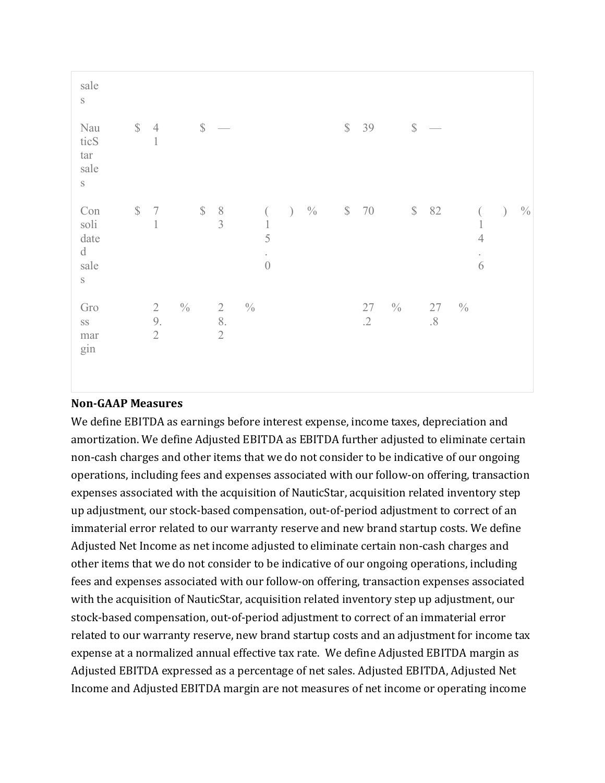| sale<br>$\mathbf S$                                       |              |                                        |               |              |                                      |               |                                                         |         |               |              |              |               |              |                  |               |                                   |               |
|-----------------------------------------------------------|--------------|----------------------------------------|---------------|--------------|--------------------------------------|---------------|---------------------------------------------------------|---------|---------------|--------------|--------------|---------------|--------------|------------------|---------------|-----------------------------------|---------------|
| Nau<br>ticS<br>$\tan$<br>sale<br>$\mathbf S$              | $\mathbb{S}$ | $\overline{4}$<br>$\mathbf 1$          |               | $\mathbb{S}$ |                                      |               |                                                         |         |               | $\mathbb{S}$ | 39           |               | $\mathbb S$  |                  |               |                                   |               |
| Con<br>soli<br>date<br>$\mathbf d$<br>sale<br>$\mathbf S$ | $\mathbb{S}$ | $\boldsymbol{7}$<br>$\,1\,$            |               | $\mathbb S$  | $\begin{matrix} 8 \\ 3 \end{matrix}$ |               | $\left($<br>$\,1\,$<br>5<br>$\bullet$<br>$\overline{0}$ | $\big)$ | $\frac{0}{0}$ | $\mathbb{S}$ | 70           |               | $\mathbb{S}$ | 82               |               | $\overline{4}$<br>$\epsilon$<br>6 | $\frac{0}{0}$ |
| Gro<br>$\rm SS$<br>mar<br>gin                             |              | $\overline{2}$<br>9.<br>$\overline{2}$ | $\frac{0}{0}$ |              | $\sqrt{2}$<br>8.<br>$\sqrt{2}$       | $\frac{0}{0}$ |                                                         |         |               |              | 27<br>$.2\,$ | $\frac{0}{0}$ |              | $27\,$<br>$.8\,$ | $\frac{0}{0}$ |                                   |               |

#### **Non-GAAP Measures**

We define EBITDA as earnings before interest expense, income taxes, depreciation and amortization. We define Adjusted EBITDA as EBITDA further adjusted to eliminate certain non-cash charges and other items that we do not consider to be indicative of our ongoing operations, including fees and expenses associated with our follow-on offering, transaction expenses associated with the acquisition of NauticStar, acquisition related inventory step up adjustment, our stock-based compensation, out-of-period adjustment to correct of an immaterial error related to our warranty reserve and new brand startup costs. We define Adjusted Net Income as net income adjusted to eliminate certain non-cash charges and other items that we do not consider to be indicative of our ongoing operations, including fees and expenses associated with our follow-on offering, transaction expenses associated with the acquisition of NauticStar, acquisition related inventory step up adjustment, our stock-based compensation, out-of-period adjustment to correct of an immaterial error related to our warranty reserve, new brand startup costs and an adjustment for income tax expense at a normalized annual effective tax rate. We define Adjusted EBITDA margin as Adjusted EBITDA expressed as a percentage of net sales. Adjusted EBITDA, Adjusted Net Income and Adjusted EBITDA margin are not measures of net income or operating income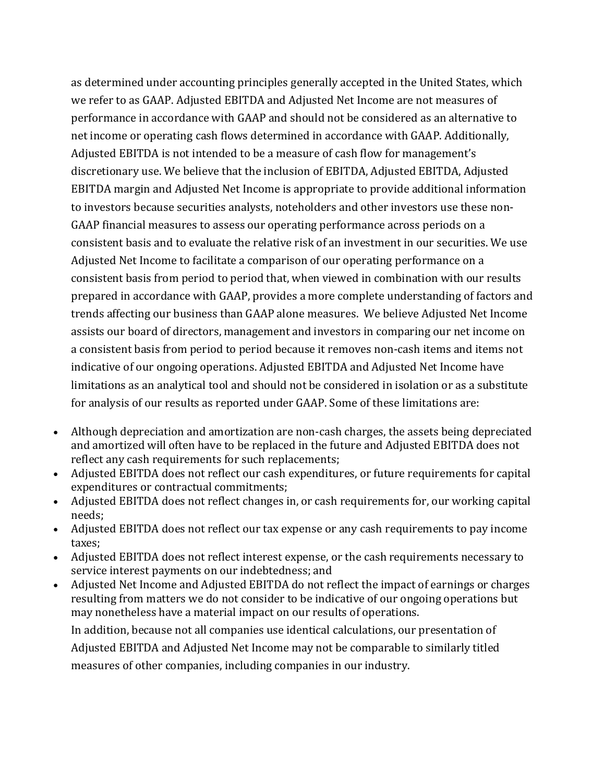as determined under accounting principles generally accepted in the United States, which we refer to as GAAP. Adjusted EBITDA and Adjusted Net Income are not measures of performance in accordance with GAAP and should not be considered as an alternative to net income or operating cash flows determined in accordance with GAAP. Additionally, Adjusted EBITDA is not intended to be a measure of cash flow for management's discretionary use. We believe that the inclusion of EBITDA, Adjusted EBITDA, Adjusted EBITDA margin and Adjusted Net Income is appropriate to provide additional information to investors because securities analysts, noteholders and other investors use these non-GAAP financial measures to assess our operating performance across periods on a consistent basis and to evaluate the relative risk of an investment in our securities. We use Adjusted Net Income to facilitate a comparison of our operating performance on a consistent basis from period to period that, when viewed in combination with our results prepared in accordance with GAAP, provides a more complete understanding of factors and trends affecting our business than GAAP alone measures. We believe Adjusted Net Income assists our board of directors, management and investors in comparing our net income on a consistent basis from period to period because it removes non-cash items and items not indicative of our ongoing operations. Adjusted EBITDA and Adjusted Net Income have limitations as an analytical tool and should not be considered in isolation or as a substitute for analysis of our results as reported under GAAP. Some of these limitations are:

- Although depreciation and amortization are non-cash charges, the assets being depreciated and amortized will often have to be replaced in the future and Adjusted EBITDA does not reflect any cash requirements for such replacements;
- Adjusted EBITDA does not reflect our cash expenditures, or future requirements for capital expenditures or contractual commitments;
- Adjusted EBITDA does not reflect changes in, or cash requirements for, our working capital needs;
- Adjusted EBITDA does not reflect our tax expense or any cash requirements to pay income taxes;
- Adjusted EBITDA does not reflect interest expense, or the cash requirements necessary to service interest payments on our indebtedness; and
- Adjusted Net Income and Adjusted EBITDA do not reflect the impact of earnings or charges resulting from matters we do not consider to be indicative of our ongoing operations but may nonetheless have a material impact on our results of operations.

In addition, because not all companies use identical calculations, our presentation of Adjusted EBITDA and Adjusted Net Income may not be comparable to similarly titled measures of other companies, including companies in our industry.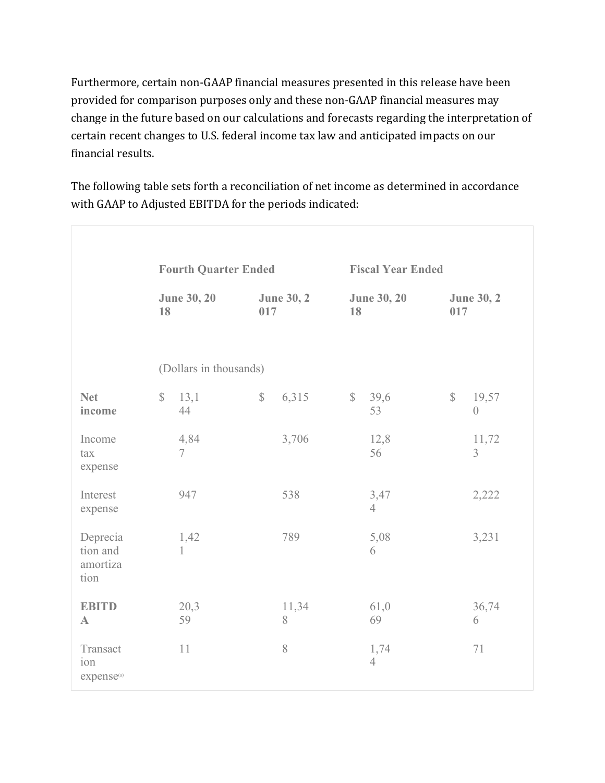Furthermore, certain non-GAAP financial measures presented in this release have been provided for comparison purposes only and these non-GAAP financial measures may change in the future based on our calculations and forecasts regarding the interpretation of certain recent changes to U.S. federal income tax law and anticipated impacts on our financial results.

The following table sets forth a reconciliation of net income as determined in accordance with GAAP to Adjusted EBITDA for the periods indicated:

|                                           |                          | <b>Fourth Quarter Ended</b> |              |                   |              | <b>Fiscal Year Ended</b> |              |                         |  |
|-------------------------------------------|--------------------------|-----------------------------|--------------|-------------------|--------------|--------------------------|--------------|-------------------------|--|
|                                           | <b>June 30, 20</b><br>18 |                             | 017          | <b>June 30, 2</b> | 18           | <b>June 30, 20</b>       | 017          | <b>June 30, 2</b>       |  |
|                                           |                          | (Dollars in thousands)      |              |                   |              |                          |              |                         |  |
| <b>Net</b><br>income                      | $\mathbb{S}$             | 13,1<br>44                  | $\mathbb{S}$ | 6,315             | $\mathbb{S}$ | 39,6<br>53               | $\mathbb{S}$ | 19,57<br>$\overline{0}$ |  |
| Income<br>tax<br>expense                  |                          | 4,84<br>$\overline{7}$      |              | 3,706             |              | 12,8<br>56               |              | 11,72<br>$\overline{3}$ |  |
| Interest<br>expense                       |                          | 947                         |              | 538               |              | 3,47<br>$\overline{4}$   |              | 2,222                   |  |
| Deprecia<br>tion and<br>amortiza<br>tion  |                          | 1,42<br>$\mathbf{1}$        |              | 789               |              | 5,08<br>6                |              | 3,231                   |  |
| <b>EBITD</b><br>$\mathbf{A}$              |                          | 20,3<br>59                  |              | 11,34<br>8        |              | 61,0<br>69               |              | 36,74<br>6              |  |
| Transact<br>ion<br>expense <sup>(a)</sup> |                          | 11                          |              | 8                 |              | 1,74<br>$\overline{4}$   |              | 71                      |  |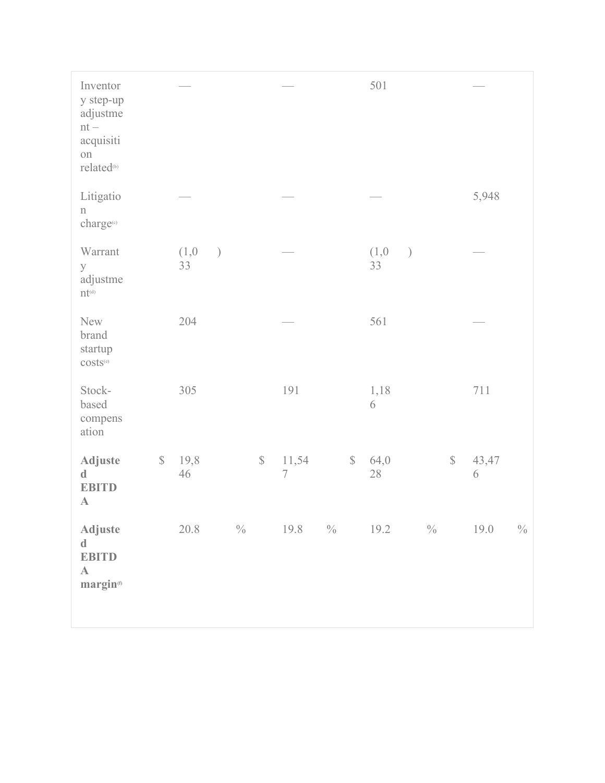| Inventor<br>y step-up<br>adjustme<br>$\rm nt$ $-$<br>acquisiti<br>on<br>related <sup>(b)</sup> |              |                |         |               |              |                                   |              | 501         |               |              |            |               |
|------------------------------------------------------------------------------------------------|--------------|----------------|---------|---------------|--------------|-----------------------------------|--------------|-------------|---------------|--------------|------------|---------------|
| Litigatio<br>$\rm n$<br>charge(c)                                                              |              |                |         |               |              |                                   |              |             |               |              | 5,948      |               |
| Warrant<br>y<br>adjustme<br>$\mathbf{nt}^{\scriptscriptstyle{\text{(d)}}}$                     |              | (1,0)<br>33    | $\big)$ |               |              |                                   |              | (1,0)<br>33 | $\mathcal{E}$ |              |            |               |
| New<br>brand<br>startup<br>costs <sup>(e)</sup>                                                |              | 204            |         |               |              |                                   |              | 561         |               |              |            |               |
| Stock-<br>based<br>compens<br>ation                                                            |              | 305            |         |               |              | 191                               |              | 1,18<br>6   |               |              | 711        |               |
| Adjuste<br>$\mathbf d$<br><b>EBITD</b><br>$\mathbf{A}$                                         | $\mathbb{S}$ | 19,8<br>$46\,$ |         |               | $\mathbb{S}$ | 11,54<br>$\overline{\mathcal{I}}$ | $\mathbb{S}$ | 64,0<br>28  |               | $\mathbb{S}$ | 43,47<br>6 |               |
| Adjuste<br>$\mathbf d$<br><b>EBITD</b><br>$\mathbf A$<br>margin <sup>(f)</sup>                 |              | 20.8           |         | $\frac{0}{0}$ |              | $19.8 \t% 19.2 \t%$               |              |             |               |              | 19.0       | $\frac{0}{0}$ |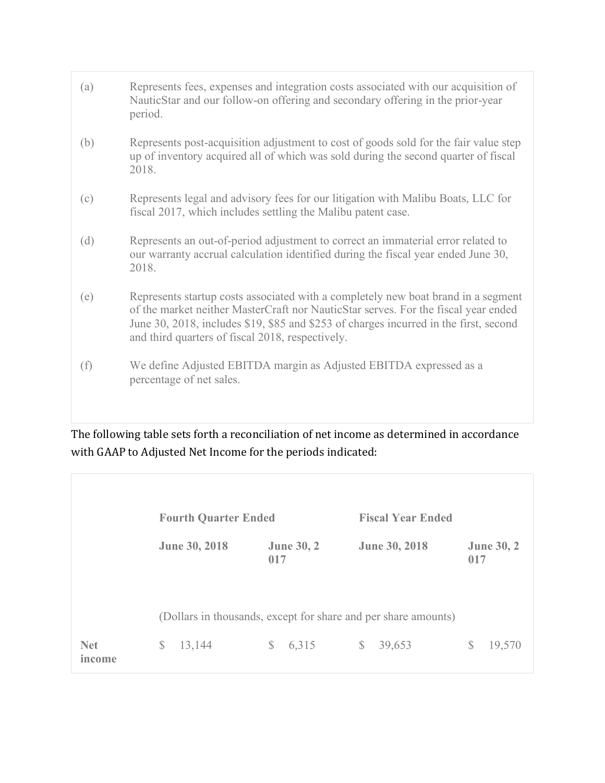| (a) | Represents fees, expenses and integration costs associated with our acquisition of<br>NauticStar and our follow-on offering and secondary offering in the prior-year<br>period.                                                                                                                                      |
|-----|----------------------------------------------------------------------------------------------------------------------------------------------------------------------------------------------------------------------------------------------------------------------------------------------------------------------|
| (b) | Represents post-acquisition adjustment to cost of goods sold for the fair value step<br>up of inventory acquired all of which was sold during the second quarter of fiscal<br>2018.                                                                                                                                  |
| (c) | Represents legal and advisory fees for our litigation with Malibu Boats, LLC for<br>fiscal 2017, which includes settling the Malibu patent case.                                                                                                                                                                     |
| (d) | Represents an out-of-period adjustment to correct an immaterial error related to<br>our warranty accrual calculation identified during the fiscal year ended June 30,<br>2018.                                                                                                                                       |
| (e) | Represents startup costs associated with a completely new boat brand in a segment<br>of the market neither MasterCraft nor NauticStar serves. For the fiscal year ended<br>June 30, 2018, includes \$19, \$85 and \$253 of charges incurred in the first, second<br>and third quarters of fiscal 2018, respectively. |
| (f) | We define Adjusted EBITDA margin as Adjusted EBITDA expressed as a<br>percentage of net sales.                                                                                                                                                                                                                       |
|     |                                                                                                                                                                                                                                                                                                                      |

The following table sets forth a reconciliation of net income as determined in accordance with GAAP to Adjusted Net Income for the periods indicated:

|                      | <b>Fourth Quarter Ended</b> |                          | <b>Fiscal Year Ended</b>                                       |                          |
|----------------------|-----------------------------|--------------------------|----------------------------------------------------------------|--------------------------|
|                      | June 30, 2018               | <b>June 30, 2</b><br>017 | <b>June 30, 2018</b>                                           | <b>June 30, 2</b><br>017 |
|                      |                             |                          | (Dollars in thousands, except for share and per share amounts) |                          |
|                      |                             |                          |                                                                |                          |
| <b>Net</b><br>income | \$<br>13,144                | 6,315<br>\$              | 39,653<br>$\mathbb{S}$                                         | 19,570<br>S              |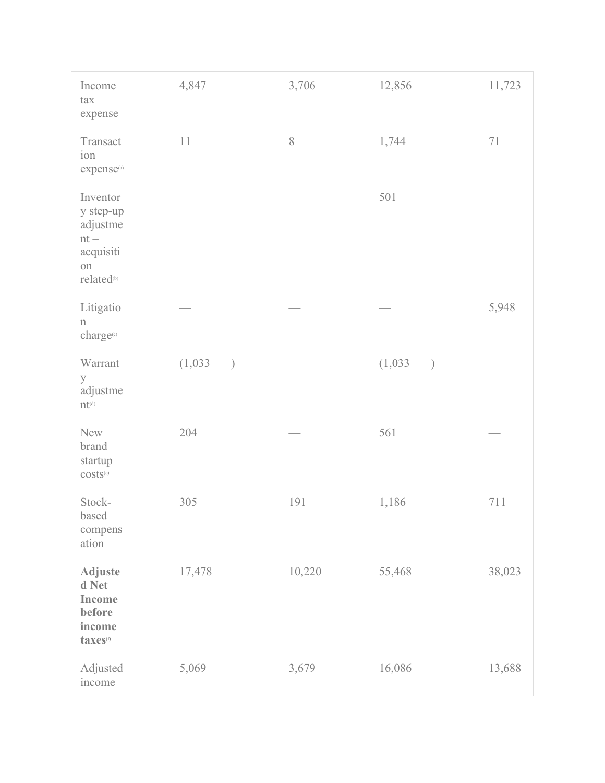| Income<br>tax<br>expense                                                                       | 4,847                    | 3,706  | 12,856                   | 11,723 |
|------------------------------------------------------------------------------------------------|--------------------------|--------|--------------------------|--------|
| Transact<br>ion<br>expense <sup>(a)</sup>                                                      | $11\,$                   | $8\,$  | 1,744                    | $71\,$ |
| Inventor<br>y step-up<br>adjustme<br>$\rm nt$ $-$<br>acquisiti<br>on<br>related <sup>(b)</sup> |                          |        | 501                      |        |
| Litigatio<br>$\mathbf n$<br>charge(c)                                                          |                          |        |                          | 5,948  |
| Warrant<br>y<br>adjustme<br>$\mathbf{nt}^{\scriptscriptstyle{\text{(d)}}}$                     | (1,033)<br>$\mathcal{E}$ |        | (1,033)<br>$\mathcal{L}$ |        |
| New<br>brand<br>startup<br>$costs(e)$                                                          | 204                      |        | 561                      |        |
| Stock-<br>based<br>compens<br>ation                                                            | 305                      | 191    | 1,186                    | 711    |
| <b>Adjuste</b><br>d Net<br>Income<br>before<br>income<br>taxes <sup>(f)</sup>                  | 17,478                   | 10,220 | 55,468                   | 38,023 |
| Adjusted<br>income                                                                             | 5,069                    | 3,679  | 16,086                   | 13,688 |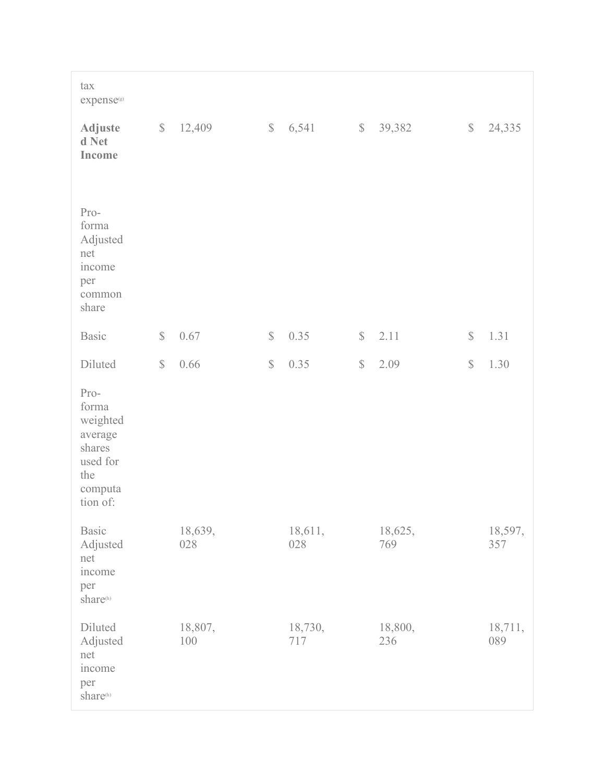| tax<br>expense®                                                                          |              |                |              |                |              |                |              |                |
|------------------------------------------------------------------------------------------|--------------|----------------|--------------|----------------|--------------|----------------|--------------|----------------|
| <b>Adjuste</b><br>d Net<br>Income                                                        | $\mathbb{S}$ | 12,409         | $\mathbb{S}$ | 6,541          | $\mathbb{S}$ | 39,382         | $\mathbb S$  | 24,335         |
| Pro-<br>forma<br>Adjusted<br>net<br>income<br>per<br>common<br>share                     |              |                |              |                |              |                |              |                |
| <b>Basic</b>                                                                             | $\mathbb{S}$ | 0.67           | $\mathbb{S}$ | 0.35           | $\mathbb{S}$ | 2.11           | $\mathbb{S}$ | 1.31           |
| Diluted                                                                                  | $\mathbb{S}$ | 0.66           | $\mathbb{S}$ | 0.35           | $\mathbb{S}$ | 2.09           | $\mathbb{S}$ | 1.30           |
| Pro-<br>forma<br>weighted<br>average<br>shares<br>used for<br>the<br>computa<br>tion of: |              |                |              |                |              |                |              |                |
| <b>Basic</b><br>Adjusted<br>net<br>income<br>per<br>share(h)                             |              | 18,639,<br>028 |              | 18,611,<br>028 |              | 18,625,<br>769 |              | 18,597,<br>357 |
| Diluted<br>Adjusted<br>net<br>income<br>per<br>share <sup>(h)</sup>                      |              | 18,807,<br>100 |              | 18,730,<br>717 |              | 18,800,<br>236 |              | 18,711,<br>089 |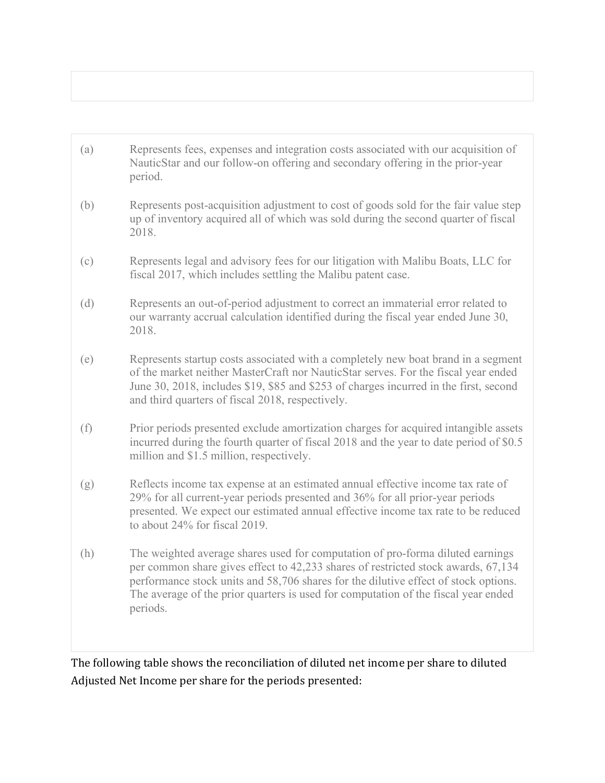| (a) | Represents fees, expenses and integration costs associated with our acquisition of<br>NauticStar and our follow-on offering and secondary offering in the prior-year<br>period.                                                                                                                                                                              |
|-----|--------------------------------------------------------------------------------------------------------------------------------------------------------------------------------------------------------------------------------------------------------------------------------------------------------------------------------------------------------------|
| (b) | Represents post-acquisition adjustment to cost of goods sold for the fair value step<br>up of inventory acquired all of which was sold during the second quarter of fiscal<br>2018.                                                                                                                                                                          |
| (c) | Represents legal and advisory fees for our litigation with Malibu Boats, LLC for<br>fiscal 2017, which includes settling the Malibu patent case.                                                                                                                                                                                                             |
| (d) | Represents an out-of-period adjustment to correct an immaterial error related to<br>our warranty accrual calculation identified during the fiscal year ended June 30,<br>2018.                                                                                                                                                                               |
| (e) | Represents startup costs associated with a completely new boat brand in a segment<br>of the market neither MasterCraft nor NauticStar serves. For the fiscal year ended<br>June 30, 2018, includes \$19, \$85 and \$253 of charges incurred in the first, second<br>and third quarters of fiscal 2018, respectively.                                         |
| (f) | Prior periods presented exclude amortization charges for acquired intangible assets<br>incurred during the fourth quarter of fiscal 2018 and the year to date period of \$0.5<br>million and \$1.5 million, respectively.                                                                                                                                    |
| (g) | Reflects income tax expense at an estimated annual effective income tax rate of<br>29% for all current-year periods presented and 36% for all prior-year periods<br>presented. We expect our estimated annual effective income tax rate to be reduced<br>to about 24% for fiscal 2019.                                                                       |
| (h) | The weighted average shares used for computation of pro-forma diluted earnings<br>per common share gives effect to 42,233 shares of restricted stock awards, 67,134<br>performance stock units and 58,706 shares for the dilutive effect of stock options.<br>The average of the prior quarters is used for computation of the fiscal year ended<br>periods. |
|     |                                                                                                                                                                                                                                                                                                                                                              |

The following table shows the reconciliation of diluted net income per share to diluted Adjusted Net Income per share for the periods presented: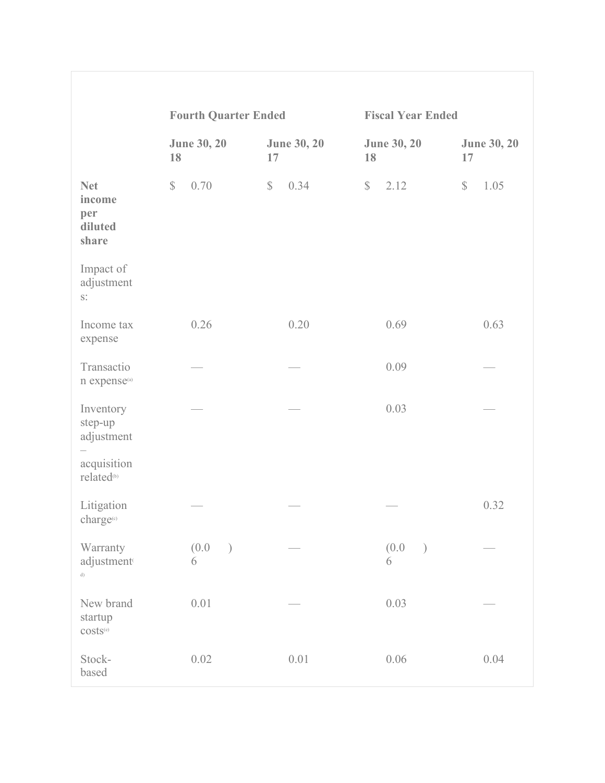|                                                                             | <b>Fourth Quarter Ended</b> |                          | <b>Fiscal Year Ended</b>    |                          |  |  |
|-----------------------------------------------------------------------------|-----------------------------|--------------------------|-----------------------------|--------------------------|--|--|
|                                                                             | <b>June 30, 20</b><br>18    | <b>June 30, 20</b><br>17 | <b>June 30, 20</b><br>18    | <b>June 30, 20</b><br>17 |  |  |
| <b>Net</b><br>income<br>per<br>diluted<br>share                             | 0.70<br>$\mathbb{S}$        | 0.34<br>$\mathbb{S}$     | $\mathbb{S}$<br>2.12        | $\mathbb{S}$<br>1.05     |  |  |
| Impact of<br>adjustment<br>$\mathbf{S}^*$                                   |                             |                          |                             |                          |  |  |
| Income tax<br>expense                                                       | 0.26                        | 0.20                     | 0.69                        | 0.63                     |  |  |
| Transactio<br>n expense <sup>(a)</sup>                                      |                             |                          | 0.09                        |                          |  |  |
| Inventory<br>step-up<br>adjustment<br>acquisition<br>related <sup>(b)</sup> |                             |                          | 0.03                        |                          |  |  |
| Litigation<br>charge <sup>(c)</sup>                                         |                             |                          |                             | 0.32                     |  |  |
| Warranty<br>adjustment<br>d)                                                | (0.0)<br>$\mathcal{E}$<br>6 |                          | (0.0)<br>$\mathcal{E}$<br>6 |                          |  |  |
| New brand<br>startup<br>$costs^{(e)}$                                       | 0.01                        |                          | 0.03                        |                          |  |  |
| Stock-<br>based                                                             | 0.02                        | 0.01                     | 0.06                        | 0.04                     |  |  |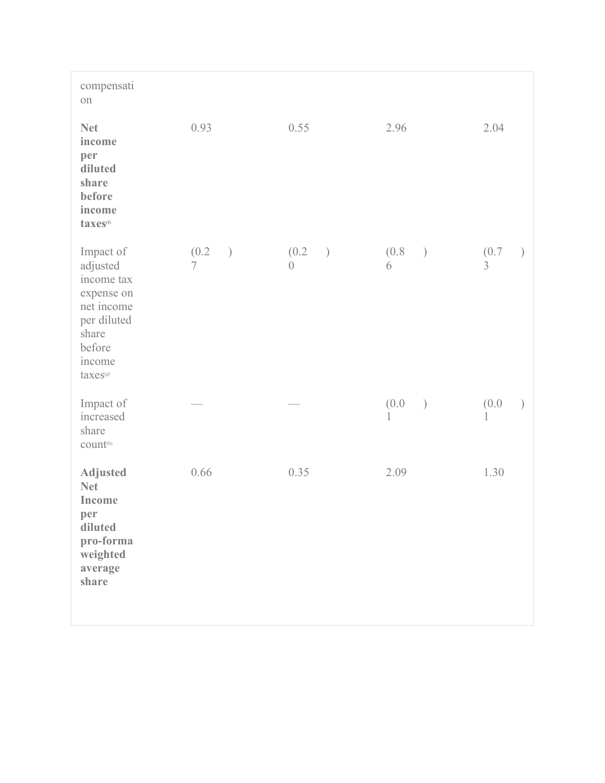| compensati<br>on                                                                                                                    |                        |                                |                             |            |
|-------------------------------------------------------------------------------------------------------------------------------------|------------------------|--------------------------------|-----------------------------|------------|
| <b>Net</b><br>income<br>per<br>diluted<br>share<br>before<br>income<br>taxes <sup>(f)</sup>                                         | 0.93                   | 0.55                           | 2.96                        | 2.04       |
| Impact of<br>adjusted<br>income tax<br>expense on<br>net income<br>per diluted<br>share<br>before<br>income<br>taxes <sup>(g)</sup> | (0.2)<br>$\mathcal{E}$ | (0.2)<br>$\big)$<br>$\bigcirc$ | (0.8)<br>$\big)$<br>6       | (0.7)      |
| Impact of<br>increased<br>share<br>count <sup>(h)</sup>                                                                             |                        |                                | (0.0)<br>$\mathcal{E}$<br>1 | (0.0)<br>1 |
| <b>Adjusted</b><br><b>Net</b><br>Income<br>per<br>diluted<br>pro-forma<br>weighted<br>average<br>share                              | 0.66                   | 0.35                           | 2.09                        | 1.30       |